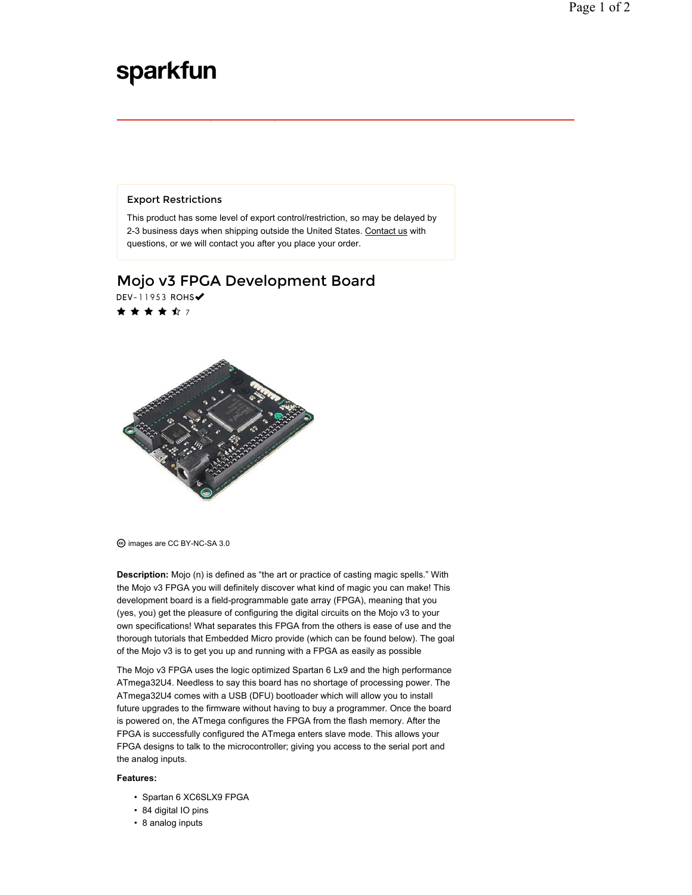## sparkfun

## Export Restrictions

This product has some level of export control/restriction, so may be delayed by 2-3 business days when shipping outside the United States. Contact us with questions, or we will contact you after you place your order.

## Mojo v3 FPGA Development Board DEV-11953 ROHS

★ ★ ★ ★ ☆ 7



images are CC BY-NC-SA 3.0

**Description:** Mojo (n) is defined as "the art or practice of casting magic spells." With the Mojo v3 FPGA you will definitely discover what kind of magic you can make! This development board is a field-programmable gate array (FPGA), meaning that you (yes, you) get the pleasure of configuring the digital circuits on the Mojo v3 to your own specifications! What separates this FPGA from the others is ease of use and the thorough tutorials that Embedded Micro provide (which can be found below). The goal of the Mojo v3 is to get you up and running with a FPGA as easily as possible

The Mojo v3 FPGA uses the logic optimized Spartan 6 Lx9 and the high performance ATmega32U4. Needless to say this board has no shortage of processing power. The ATmega32U4 comes with a USB (DFU) bootloader which will allow you to install future upgrades to the firmware without having to buy a programmer. Once the board is powered on, the ATmega configures the FPGA from the flash memory. After the FPGA is successfully configured the ATmega enters slave mode. This allows your FPGA designs to talk to the microcontroller; giving you access to the serial port and the analog inputs.

## **Features:**

- Spartan 6 XC6SLX9 FPGA
- 84 digital IO pins
- 8 analog inputs